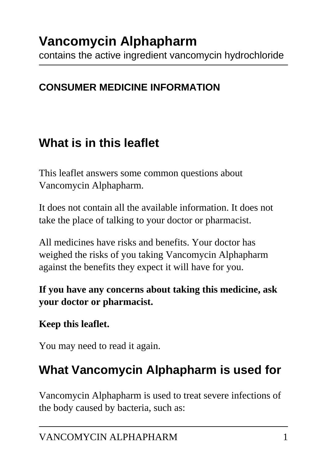contains the active ingredient vancomycin hydrochloride

### **CONSUMER MEDICINE INFORMATION**

# **What is in this leaflet**

This leaflet answers some common questions about Vancomycin Alphapharm.

It does not contain all the available information. It does not take the place of talking to your doctor or pharmacist.

All medicines have risks and benefits. Your doctor has weighed the risks of you taking Vancomycin Alphapharm against the benefits they expect it will have for you.

**If you have any concerns about taking this medicine, ask your doctor or pharmacist.**

### **Keep this leaflet.**

You may need to read it again.

# **What Vancomycin Alphapharm is used for**

Vancomycin Alphapharm is used to treat severe infections of the body caused by bacteria, such as: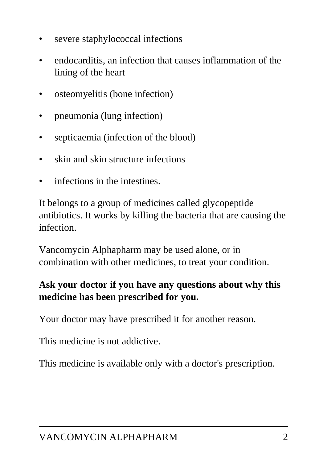- severe staphylococcal infections
- endocarditis, an infection that causes inflammation of the lining of the heart
- osteomyelitis (bone infection)
- pneumonia (lung infection)
- septicaemia (infection of the blood)
- skin and skin structure infections
- infections in the intestines.

It belongs to a group of medicines called glycopeptide antibiotics. It works by killing the bacteria that are causing the infection.

Vancomycin Alphapharm may be used alone, or in combination with other medicines, to treat your condition.

#### **Ask your doctor if you have any questions about why this medicine has been prescribed for you.**

Your doctor may have prescribed it for another reason.

This medicine is not addictive.

This medicine is available only with a doctor's prescription.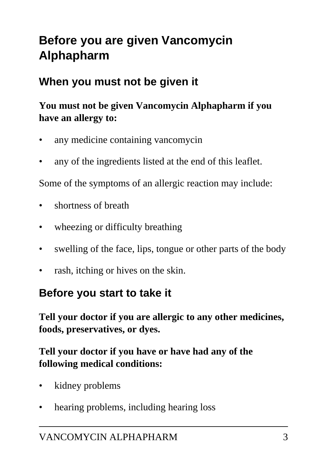# **Before you are given Vancomycin Alphapharm**

## **When you must not be given it**

### **You must not be given Vancomycin Alphapharm if you have an allergy to:**

- any medicine containing vancomycin
- any of the ingredients listed at the end of this leaflet.

Some of the symptoms of an allergic reaction may include:

- shortness of breath
- wheezing or difficulty breathing
- swelling of the face, lips, tongue or other parts of the body
- rash, itching or hives on the skin.

### **Before you start to take it**

**Tell your doctor if you are allergic to any other medicines, foods, preservatives, or dyes.**

#### **Tell your doctor if you have or have had any of the following medical conditions:**

- kidney problems
- hearing problems, including hearing loss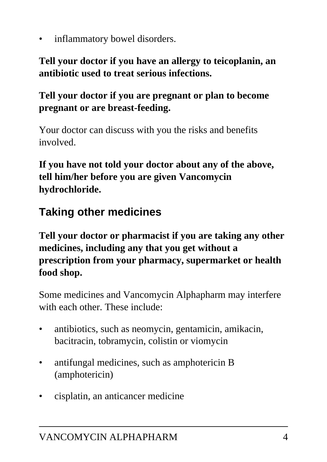inflammatory bowel disorders.

**Tell your doctor if you have an allergy to teicoplanin, an antibiotic used to treat serious infections.**

**Tell your doctor if you are pregnant or plan to become pregnant or are breast-feeding.**

Your doctor can discuss with you the risks and benefits involved.

**If you have not told your doctor about any of the above, tell him/her before you are given Vancomycin hydrochloride.**

## **Taking other medicines**

**Tell your doctor or pharmacist if you are taking any other medicines, including any that you get without a prescription from your pharmacy, supermarket or health food shop.**

Some medicines and Vancomycin Alphapharm may interfere with each other. These include:

- antibiotics, such as neomycin, gentamicin, amikacin, bacitracin, tobramycin, colistin or viomycin
- antifungal medicines, such as amphotericin B (amphotericin)
- cisplatin, an anticancer medicine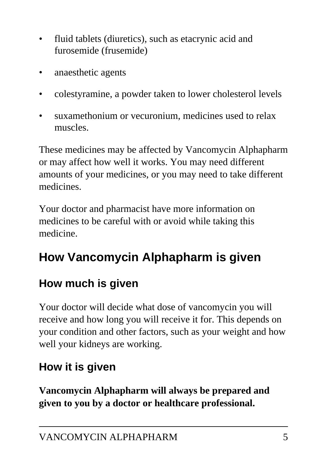- fluid tablets (diuretics), such as etacrynic acid and furosemide (frusemide)
- anaesthetic agents
- colestyramine, a powder taken to lower cholesterol levels
- suxamethonium or vecuronium, medicines used to relax muscles.

These medicines may be affected by Vancomycin Alphapharm or may affect how well it works. You may need different amounts of your medicines, or you may need to take different medicines.

Your doctor and pharmacist have more information on medicines to be careful with or avoid while taking this medicine.

# **How Vancomycin Alphapharm is given**

## **How much is given**

Your doctor will decide what dose of vancomycin you will receive and how long you will receive it for. This depends on your condition and other factors, such as your weight and how well your kidneys are working.

# **How it is given**

**Vancomycin Alphapharm will always be prepared and given to you by a doctor or healthcare professional.**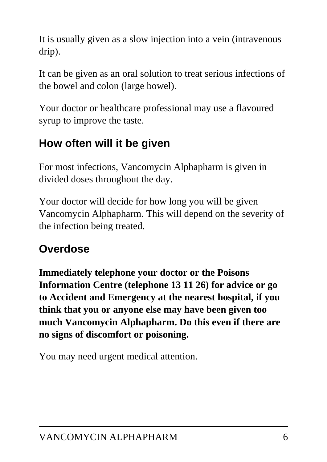It is usually given as a slow injection into a vein (intravenous drip).

It can be given as an oral solution to treat serious infections of the bowel and colon (large bowel).

Your doctor or healthcare professional may use a flavoured syrup to improve the taste.

## **How often will it be given**

For most infections, Vancomycin Alphapharm is given in divided doses throughout the day.

Your doctor will decide for how long you will be given Vancomycin Alphapharm. This will depend on the severity of the infection being treated.

# **Overdose**

**Immediately telephone your doctor or the Poisons Information Centre (telephone 13 11 26) for advice or go to Accident and Emergency at the nearest hospital, if you think that you or anyone else may have been given too much Vancomycin Alphapharm. Do this even if there are no signs of discomfort or poisoning.**

You may need urgent medical attention.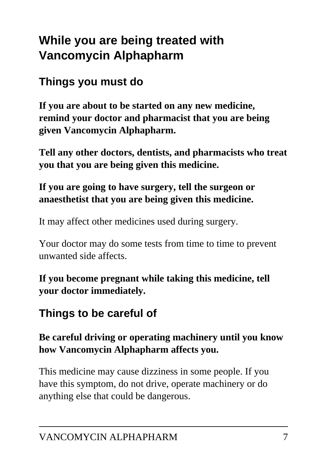# **While you are being treated with Vancomycin Alphapharm**

## **Things you must do**

**If you are about to be started on any new medicine, remind your doctor and pharmacist that you are being given Vancomycin Alphapharm.**

**Tell any other doctors, dentists, and pharmacists who treat you that you are being given this medicine.**

#### **If you are going to have surgery, tell the surgeon or anaesthetist that you are being given this medicine.**

It may affect other medicines used during surgery.

Your doctor may do some tests from time to time to prevent unwanted side affects.

**If you become pregnant while taking this medicine, tell your doctor immediately.**

## **Things to be careful of**

#### **Be careful driving or operating machinery until you know how Vancomycin Alphapharm affects you.**

This medicine may cause dizziness in some people. If you have this symptom, do not drive, operate machinery or do anything else that could be dangerous.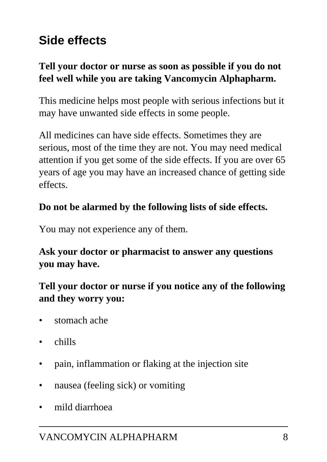# **Side effects**

#### **Tell your doctor or nurse as soon as possible if you do not feel well while you are taking Vancomycin Alphapharm.**

This medicine helps most people with serious infections but it may have unwanted side effects in some people.

All medicines can have side effects. Sometimes they are serious, most of the time they are not. You may need medical attention if you get some of the side effects. If you are over 65 years of age you may have an increased chance of getting side effects.

#### **Do not be alarmed by the following lists of side effects.**

You may not experience any of them.

#### **Ask your doctor or pharmacist to answer any questions you may have.**

#### **Tell your doctor or nurse if you notice any of the following and they worry you:**

- stomach ache
- chills
- pain, inflammation or flaking at the injection site
- nausea (feeling sick) or vomiting
- mild diarrhoea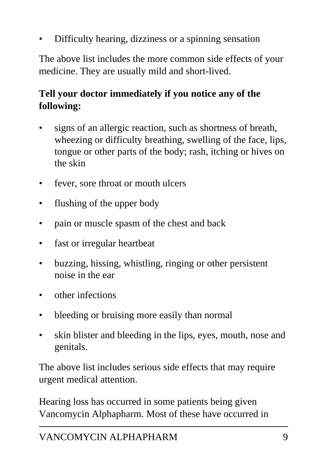• Difficulty hearing, dizziness or a spinning sensation

The above list includes the more common side effects of your medicine. They are usually mild and short-lived.

### **Tell your doctor immediately if you notice any of the following:**

- signs of an allergic reaction, such as shortness of breath, wheezing or difficulty breathing, swelling of the face, lips, tongue or other parts of the body; rash, itching or hives on the skin
- fever, sore throat or mouth ulcers
- flushing of the upper body
- pain or muscle spasm of the chest and back
- fast or irregular heartbeat
- buzzing, hissing, whistling, ringing or other persistent noise in the ear
- other infections
- bleeding or bruising more easily than normal
- skin blister and bleeding in the lips, eyes, mouth, nose and genitals.

The above list includes serious side effects that may require urgent medical attention.

Hearing loss has occurred in some patients being given Vancomycin Alphapharm. Most of these have occurred in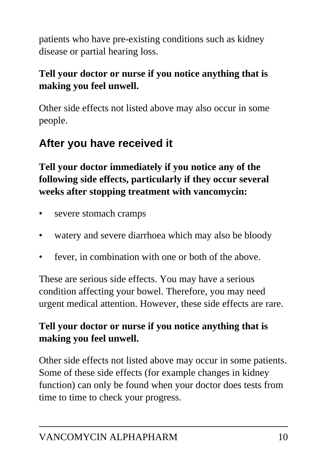patients who have pre-existing conditions such as kidney disease or partial hearing loss.

### **Tell your doctor or nurse if you notice anything that is making you feel unwell.**

Other side effects not listed above may also occur in some people.

## **After you have received it**

**Tell your doctor immediately if you notice any of the following side effects, particularly if they occur several weeks after stopping treatment with vancomycin:**

- severe stomach cramps
- watery and severe diarrhoea which may also be bloody
- fever, in combination with one or both of the above.

These are serious side effects. You may have a serious condition affecting your bowel. Therefore, you may need urgent medical attention. However, these side effects are rare.

### **Tell your doctor or nurse if you notice anything that is making you feel unwell.**

Other side effects not listed above may occur in some patients. Some of these side effects (for example changes in kidney function) can only be found when your doctor does tests from time to time to check your progress.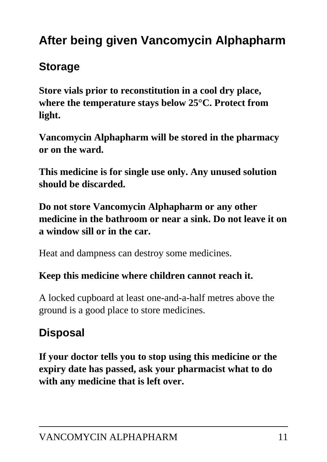# **After being given Vancomycin Alphapharm**

## **Storage**

**Store vials prior to reconstitution in a cool dry place, where the temperature stays below 25°C. Protect from light.**

**Vancomycin Alphapharm will be stored in the pharmacy or on the ward.**

**This medicine is for single use only. Any unused solution should be discarded.**

**Do not store Vancomycin Alphapharm or any other medicine in the bathroom or near a sink. Do not leave it on a window sill or in the car.**

Heat and dampness can destroy some medicines.

#### **Keep this medicine where children cannot reach it.**

A locked cupboard at least one-and-a-half metres above the ground is a good place to store medicines.

# **Disposal**

**If your doctor tells you to stop using this medicine or the expiry date has passed, ask your pharmacist what to do with any medicine that is left over.**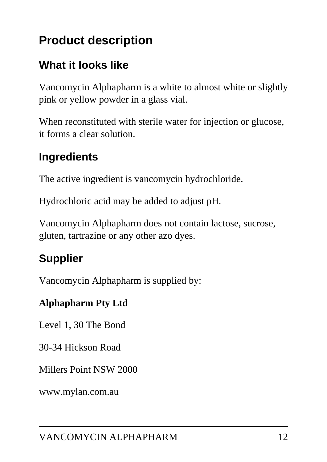# **Product description**

## **What it looks like**

Vancomycin Alphapharm is a white to almost white or slightly pink or yellow powder in a glass vial.

When reconstituted with sterile water for injection or glucose, it forms a clear solution.

## **Ingredients**

The active ingredient is vancomycin hydrochloride.

Hydrochloric acid may be added to adjust pH.

Vancomycin Alphapharm does not contain lactose, sucrose, gluten, tartrazine or any other azo dyes.

## **Supplier**

Vancomycin Alphapharm is supplied by:

#### **Alphapharm Pty Ltd**

Level 1, 30 The Bond

30-34 Hickson Road

Millers Point NSW 2000

www.mylan.com.au